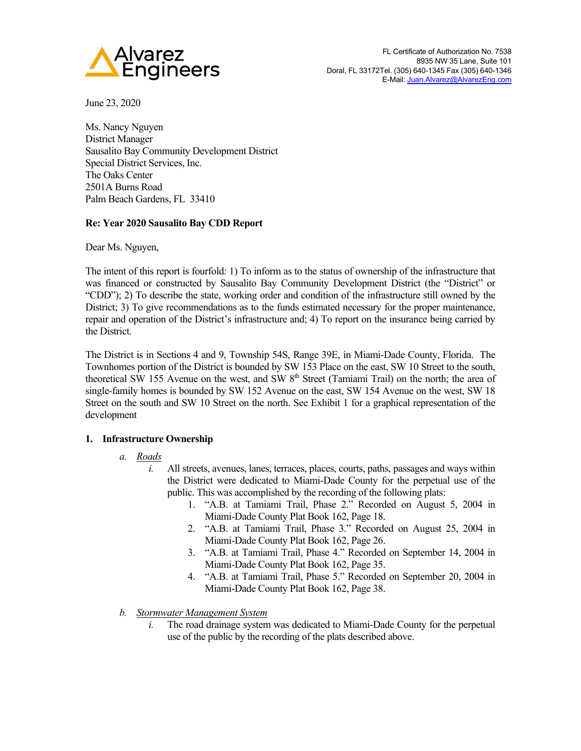

June 23, 2020

Ms. Nancy Nguyen District Manager Sausalito Bay Community Development District Special District Services, Inc. The Oaks Center 2501A Burns Road Palm Beach Gardens, FL 33410

## **Re: Year 2020 Sausalito Bay CDD Report**

Dear Ms. Nguyen,

The intent of this report is fourfold: 1) To inform as to the status of ownership of the infrastructure that was financed or constructed by Sausalito Bay Community Development District (the "District" or "CDD"); 2) To describe the state, working order and condition of the infrastructure still owned by the District; 3) To give recommendations as to the funds estimated necessary for the proper maintenance, repair and operation of the District's infrastructure and; 4) To report on the insurance being carried by the District.

The District is in Sections 4 and 9, Township 54S, Range 39E, in Miami-Dade County, Florida. The Townhomes portion of the District is bounded by SW 153 Place on the east, SW 10 Street to the south, theoretical SW 155 Avenue on the west, and SW  $8<sup>th</sup>$  Street (Tamiami Trail) on the north; the area of single-family homes is bounded by SW 152 Avenue on the east, SW 154 Avenue on the west, SW 18 Street on the south and SW 10 Street on the north. See Exhibit 1 for a graphical representation of the development

# **1. Infrastructure Ownership**

- *a. Roads*
	- *i.* All streets, avenues, lanes, terraces, places, courts, paths, passages and ways within the District were dedicated to Miami-Dade County for the perpetual use of the public. This was accomplished by the recording of the following plats:
		- 1. "A.B. at Tamiami Trail, Phase 2." Recorded on August 5, 2004 in Miami-Dade County Plat Book 162, Page 18.
		- 2. "A.B. at Tamiami Trail, Phase 3." Recorded on August 25, 2004 in Miami-Dade County Plat Book 162, Page 26.
		- 3. "A.B. at Tamiami Trail, Phase 4." Recorded on September 14, 2004 in Miami-Dade County Plat Book 162, Page 35.
		- 4. "A.B. at Tamiami Trail, Phase 5." Recorded on September 20, 2004 in Miami-Dade County Plat Book 162, Page 38.

### *b. Stormwater Management System*

*i.* The road drainage system was dedicated to Miami-Dade County for the perpetual use of the public by the recording of the plats described above.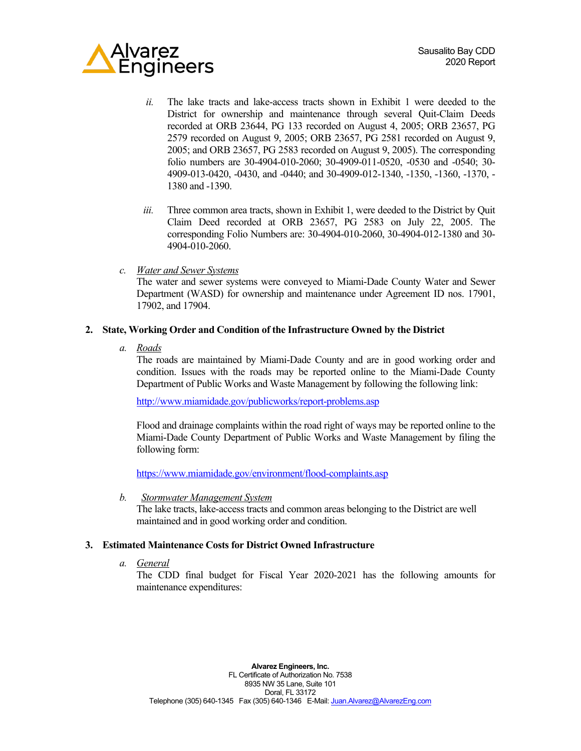

- *ii.* The lake tracts and lake-access tracts shown in Exhibit 1 were deeded to the District for ownership and maintenance through several Quit-Claim Deeds recorded at ORB 23644, PG 133 recorded on August 4, 2005; ORB 23657, PG 2579 recorded on August 9, 2005; ORB 23657, PG 2581 recorded on August 9, 2005; and ORB 23657, PG 2583 recorded on August 9, 2005). The corresponding folio numbers are 30-4904-010-2060; 30-4909-011-0520, -0530 and -0540; 30- 4909-013-0420, -0430, and -0440; and 30-4909-012-1340, -1350, -1360, -1370, - 1380 and -1390.
- *iii.* Three common area tracts, shown in Exhibit 1, were deeded to the District by Quit Claim Deed recorded at ORB 23657, PG 2583 on July 22, 2005. The corresponding Folio Numbers are: 30-4904-010-2060, 30-4904-012-1380 and 30- 4904-010-2060.
- *c. Water and Sewer Systems*

The water and sewer systems were conveyed to Miami-Dade County Water and Sewer Department (WASD) for ownership and maintenance under Agreement ID nos. 17901, 17902, and 17904.

## **2. State, Working Order and Condition of the Infrastructure Owned by the District**

*a. Roads*

The roads are maintained by Miami-Dade County and are in good working order and condition. Issues with the roads may be reported online to the Miami-Dade County Department of Public Works and Waste Management by following the following link:

<http://www.miamidade.gov/publicworks/report-problems.asp>

Flood and drainage complaints within the road right of ways may be reported online to the Miami-Dade County Department of Public Works and Waste Management by filing the following form:

<https://www.miamidade.gov/environment/flood-complaints.asp>

*b. Stormwater Management System*

The lake tracts, lake-access tracts and common areas belonging to the District are well maintained and in good working order and condition.

# **3. Estimated Maintenance Costs for District Owned Infrastructure**

*a. General*

The CDD final budget for Fiscal Year 2020-2021 has the following amounts for maintenance expenditures: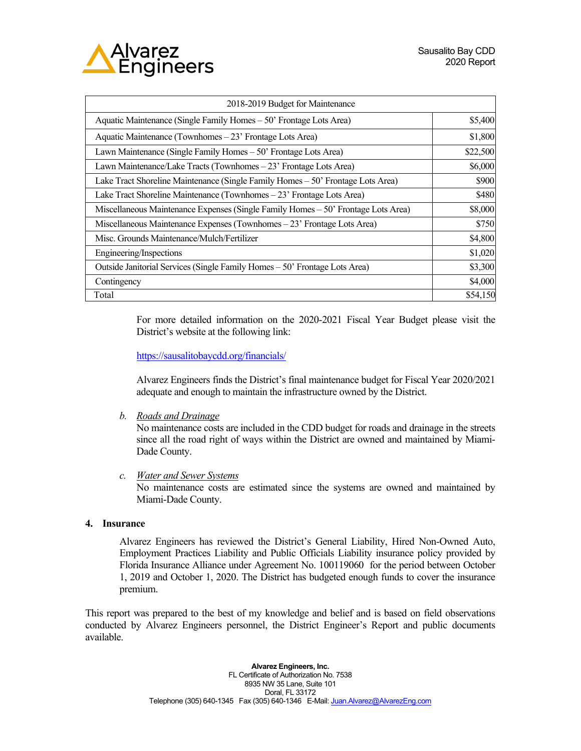

| 2018-2019 Budget for Maintenance                                                  |          |
|-----------------------------------------------------------------------------------|----------|
| Aquatic Maintenance (Single Family Homes - 50' Frontage Lots Area)                | \$5,400  |
| Aquatic Maintenance (Townhomes – 23' Frontage Lots Area)                          | \$1,800  |
| Lawn Maintenance (Single Family Homes – 50' Frontage Lots Area)                   | \$22,500 |
| Lawn Maintenance/Lake Tracts (Townhomes - 23' Frontage Lots Area)                 | \$6,000  |
| Lake Tract Shoreline Maintenance (Single Family Homes – 50' Frontage Lots Area)   | \$900    |
| Lake Tract Shoreline Maintenance (Townhomes – 23' Frontage Lots Area)             | \$480    |
| Miscellaneous Maintenance Expenses (Single Family Homes – 50' Frontage Lots Area) | \$8,000  |
| Miscellaneous Maintenance Expenses (Townhomes – 23' Frontage Lots Area)           | \$750    |
| Misc. Grounds Maintenance/Mulch/Fertilizer                                        | \$4,800  |
| Engineering/Inspections                                                           | \$1,020  |
| Outside Janitorial Services (Single Family Homes – 50' Frontage Lots Area)        | \$3,300  |
| Contingency                                                                       | \$4,000  |
| Total                                                                             | \$54,150 |

For more detailed information on the 2020-2021 Fiscal Year Budget please visit the District's website at the following link:

<https://sausalitobaycdd.org/financials/>

Alvarez Engineers finds the District's final maintenance budget for Fiscal Year 2020/2021 adequate and enough to maintain the infrastructure owned by the District.

*b. Roads and Drainage*

No maintenance costs are included in the CDD budget for roads and drainage in the streets since all the road right of ways within the District are owned and maintained by Miami-Dade County.

*c. Water and Sewer Systems*

No maintenance costs are estimated since the systems are owned and maintained by Miami-Dade County.

# **4. Insurance**

Alvarez Engineers has reviewed the District's General Liability, Hired Non-Owned Auto, Employment Practices Liability and Public Officials Liability insurance policy provided by Florida Insurance Alliance under Agreement No. 100119060 for the period between October 1, 2019 and October 1, 2020. The District has budgeted enough funds to cover the insurance premium.

This report was prepared to the best of my knowledge and belief and is based on field observations conducted by Alvarez Engineers personnel, the District Engineer's Report and public documents available.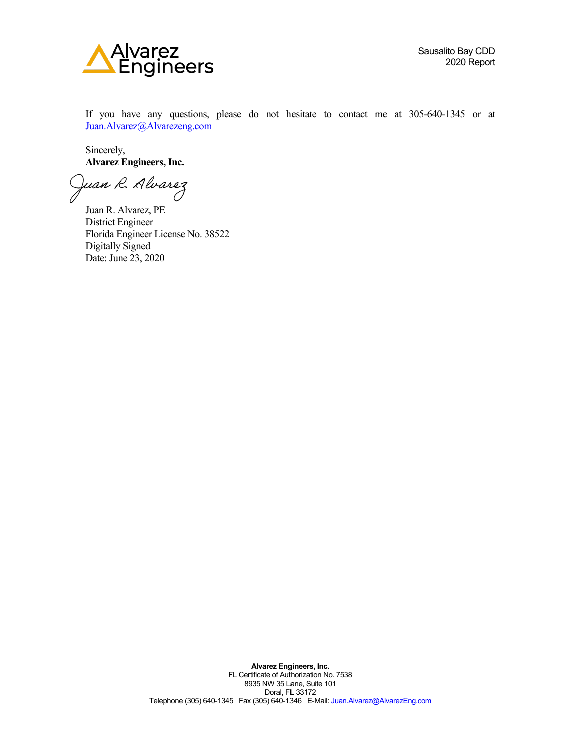

Sausalito Bay CDD 2020 Report

If you have any questions, please do not hesitate to contact me at 305-640-1345 or at [Juan.Alvarez@Alvarezeng.com](mailto:Juan.Alvarez@Alvarezeng.com)

Sincerely, **Alvarez Engineers, Inc.**

Juan R. Alvarez

Juan R. Alvarez, PE District Engineer Florida Engineer License No. 38522 Digitally Signed Date: June 23, 2020

> **Alvarez Engineers, Inc.** FL Certificate of Authorization No. 7538 8935 NW 35 Lane, Suite 101 Doral, FL 33172 Telephone (305) 640-1345 Fax (305) 640-1346 E-Mail: Juan.Alvarez@AlvarezEng.com